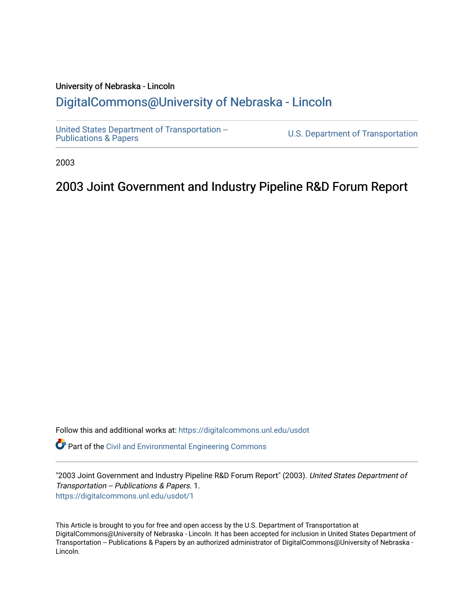### University of Nebraska - Lincoln [DigitalCommons@University of Nebraska - Lincoln](https://digitalcommons.unl.edu/)

[United States Department of Transportation --](https://digitalcommons.unl.edu/usdot)<br>Publications & Papers

U.S. Department of Transportation

2003

# 2003 Joint Government and Industry Pipeline R&D Forum Report

Follow this and additional works at: [https://digitalcommons.unl.edu/usdot](https://digitalcommons.unl.edu/usdot?utm_source=digitalcommons.unl.edu%2Fusdot%2F1&utm_medium=PDF&utm_campaign=PDFCoverPages) 

**P** Part of the [Civil and Environmental Engineering Commons](http://network.bepress.com/hgg/discipline/251?utm_source=digitalcommons.unl.edu%2Fusdot%2F1&utm_medium=PDF&utm_campaign=PDFCoverPages)

"2003 Joint Government and Industry Pipeline R&D Forum Report" (2003). United States Department of Transportation -- Publications & Papers. 1. [https://digitalcommons.unl.edu/usdot/1](https://digitalcommons.unl.edu/usdot/1?utm_source=digitalcommons.unl.edu%2Fusdot%2F1&utm_medium=PDF&utm_campaign=PDFCoverPages) 

This Article is brought to you for free and open access by the U.S. Department of Transportation at DigitalCommons@University of Nebraska - Lincoln. It has been accepted for inclusion in United States Department of Transportation -- Publications & Papers by an authorized administrator of DigitalCommons@University of Nebraska - Lincoln.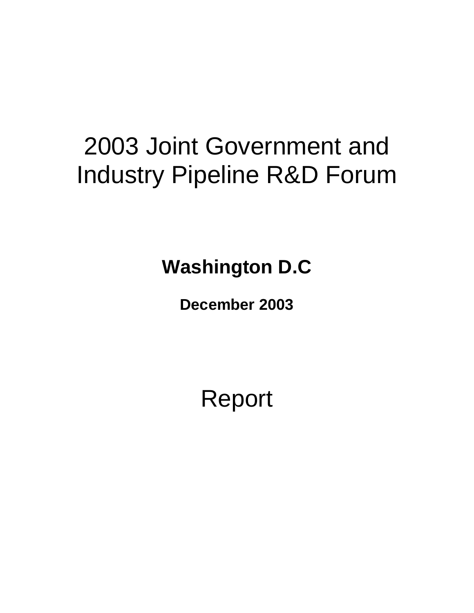# 2003 Joint Government and Industry Pipeline R&D Forum

**Washington D.C** 

**December 2003**

Report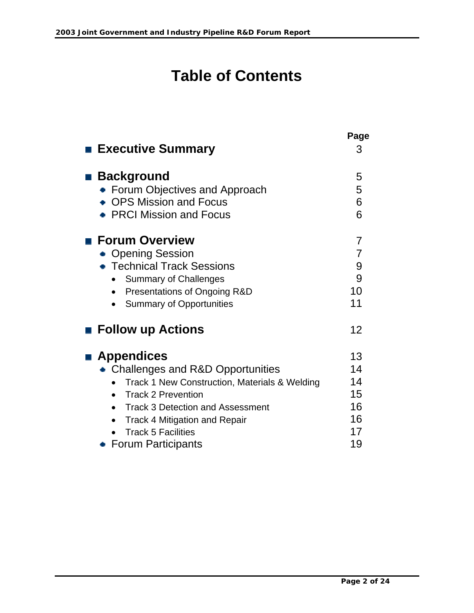# **Table of Contents**

| <b>Executive Summary</b>                                                                                                                                                                                                                                                                                     | Page<br>3                                    |
|--------------------------------------------------------------------------------------------------------------------------------------------------------------------------------------------------------------------------------------------------------------------------------------------------------------|----------------------------------------------|
| <b>Background</b><br><b>Forum Objectives and Approach</b><br>• OPS Mission and Focus<br><b>PRCI Mission and Focus</b>                                                                                                                                                                                        | 5<br>5<br>6<br>6                             |
| $\blacksquare$ Forum Overview<br><b>Opening Session</b><br>■ Technical Track Sessions<br><b>Summary of Challenges</b><br>Presentations of Ongoing R&D<br><b>Summary of Opportunities</b>                                                                                                                     | 7<br>$\overline{7}$<br>9<br>9<br>10<br>11    |
| <b>Follow up Actions</b>                                                                                                                                                                                                                                                                                     | 12                                           |
| <b>Appendices</b><br>• Challenges and R&D Opportunities<br>Track 1 New Construction, Materials & Welding<br><b>Track 2 Prevention</b><br><b>Track 3 Detection and Assessment</b><br>$\bullet$<br><b>Track 4 Mitigation and Repair</b><br>$\bullet$<br><b>Track 5 Facilities</b><br><b>Forum Participants</b> | 13<br>14<br>14<br>15<br>16<br>16<br>17<br>19 |
|                                                                                                                                                                                                                                                                                                              |                                              |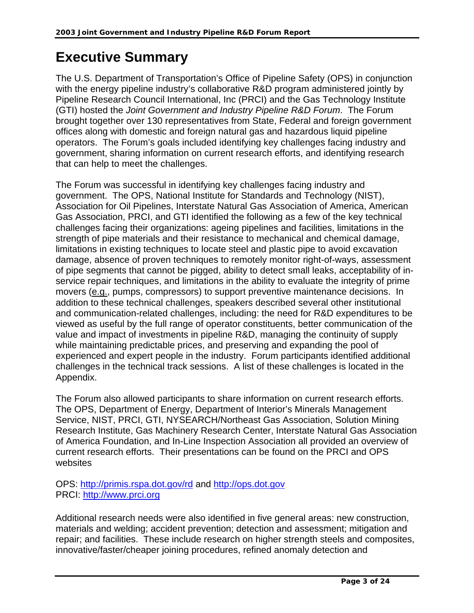# **Executive Summary**

The U.S. Department of Transportation's Office of Pipeline Safety (OPS) in conjunction with the energy pipeline industry's collaborative R&D program administered jointly by Pipeline Research Council International, Inc (PRCI) and the Gas Technology Institute (GTI) hosted the *Joint Government and Industry Pipeline R&D Forum*. The Forum brought together over 130 representatives from State, Federal and foreign government offices along with domestic and foreign natural gas and hazardous liquid pipeline operators. The Forum's goals included identifying key challenges facing industry and government, sharing information on current research efforts, and identifying research that can help to meet the challenges.

The Forum was successful in identifying key challenges facing industry and government. The OPS, National Institute for Standards and Technology (NIST), Association for Oil Pipelines, Interstate Natural Gas Association of America, American Gas Association, PRCI, and GTI identified the following as a few of the key technical challenges facing their organizations: ageing pipelines and facilities, limitations in the strength of pipe materials and their resistance to mechanical and chemical damage, limitations in existing techniques to locate steel and plastic pipe to avoid excavation damage, absence of proven techniques to remotely monitor right-of-ways, assessment of pipe segments that cannot be pigged, ability to detect small leaks, acceptability of inservice repair techniques, and limitations in the ability to evaluate the integrity of prime movers (e.g., pumps, compressors) to support preventive maintenance decisions. In addition to these technical challenges, speakers described several other institutional and communication-related challenges, including: the need for R&D expenditures to be viewed as useful by the full range of operator constituents, better communication of the value and impact of investments in pipeline R&D, managing the continuity of supply while maintaining predictable prices, and preserving and expanding the pool of experienced and expert people in the industry. Forum participants identified additional challenges in the technical track sessions. A list of these challenges is located in the Appendix.

The Forum also allowed participants to share information on current research efforts. The OPS, Department of Energy, Department of Interior's Minerals Management Service, NIST, PRCI, GTI, NYSEARCH/Northeast Gas Association, Solution Mining Research Institute, Gas Machinery Research Center, Interstate Natural Gas Association of America Foundation, and In-Line Inspection Association all provided an overview of current research efforts. Their presentations can be found on the PRCI and OPS websites

OPS:<http://primis.rspa.dot.gov/rd> and [http://ops.dot.gov](http://ops.dot.gov/) PRCI: [http://www.prci.org](http://www.prci.org/)

Additional research needs were also identified in five general areas: new construction, materials and welding; accident prevention; detection and assessment; mitigation and repair; and facilities. These include research on higher strength steels and composites, innovative/faster/cheaper joining procedures, refined anomaly detection and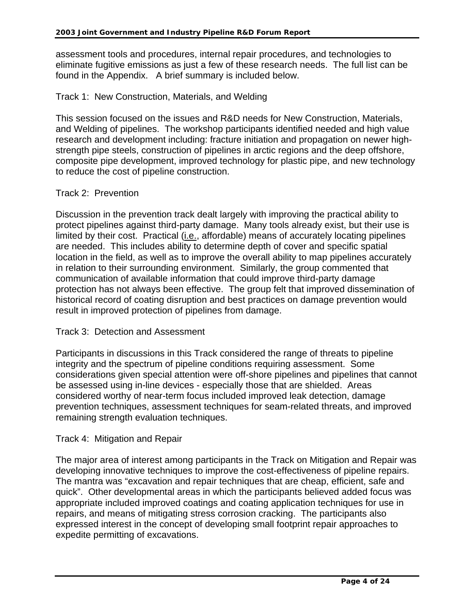assessment tools and procedures, internal repair procedures, and technologies to eliminate fugitive emissions as just a few of these research needs. The full list can be found in the Appendix. A brief summary is included below.

#### Track 1: New Construction, Materials, and Welding

This session focused on the issues and R&D needs for New Construction, Materials, and Welding of pipelines. The workshop participants identified needed and high value research and development including: fracture initiation and propagation on newer highstrength pipe steels, construction of pipelines in arctic regions and the deep offshore, composite pipe development, improved technology for plastic pipe, and new technology to reduce the cost of pipeline construction.

#### Track 2: Prevention

Discussion in the prevention track dealt largely with improving the practical ability to protect pipelines against third-party damage. Many tools already exist, but their use is limited by their cost. Practical (i.e., affordable) means of accurately locating pipelines are needed. This includes ability to determine depth of cover and specific spatial location in the field, as well as to improve the overall ability to map pipelines accurately in relation to their surrounding environment. Similarly, the group commented that communication of available information that could improve third-party damage protection has not always been effective. The group felt that improved dissemination of historical record of coating disruption and best practices on damage prevention would result in improved protection of pipelines from damage.

#### Track 3: Detection and Assessment

Participants in discussions in this Track considered the range of threats to pipeline integrity and the spectrum of pipeline conditions requiring assessment. Some considerations given special attention were off-shore pipelines and pipelines that cannot be assessed using in-line devices - especially those that are shielded. Areas considered worthy of near-term focus included improved leak detection, damage prevention techniques, assessment techniques for seam-related threats, and improved remaining strength evaluation techniques.

#### Track 4: Mitigation and Repair

The major area of interest among participants in the Track on Mitigation and Repair was developing innovative techniques to improve the cost-effectiveness of pipeline repairs. The mantra was "excavation and repair techniques that are cheap, efficient, safe and quick". Other developmental areas in which the participants believed added focus was appropriate included improved coatings and coating application techniques for use in repairs, and means of mitigating stress corrosion cracking. The participants also expressed interest in the concept of developing small footprint repair approaches to expedite permitting of excavations.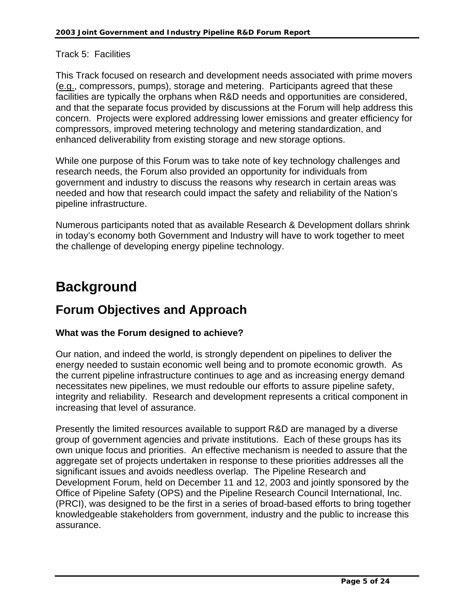#### Track 5: Facilities

This Track focused on research and development needs associated with prime movers (e.g., compressors, pumps), storage and metering. Participants agreed that these facilities are typically the orphans when R&D needs and opportunities are considered, and that the separate focus provided by discussions at the Forum will help address this concern. Projects were explored addressing lower emissions and greater efficiency for compressors, improved metering technology and metering standardization, and enhanced deliverability from existing storage and new storage options.

While one purpose of this Forum was to take note of key technology challenges and research needs, the Forum also provided an opportunity for individuals from government and industry to discuss the reasons why research in certain areas was needed and how that research could impact the safety and reliability of the Nation's pipeline infrastructure.

Numerous participants noted that as available Research & Development dollars shrink in today's economy both Government and Industry will have to work together to meet the challenge of developing energy pipeline technology.

# **Background**

# **Forum Objectives and Approach**

#### **What was the Forum designed to achieve?**

Our nation, and indeed the world, is strongly dependent on pipelines to deliver the energy needed to sustain economic well being and to promote economic growth. As the current pipeline infrastructure continues to age and as increasing energy demand necessitates new pipelines, we must redouble our efforts to assure pipeline safety, integrity and reliability. Research and development represents a critical component in increasing that level of assurance.

Presently the limited resources available to support R&D are managed by a diverse group of government agencies and private institutions. Each of these groups has its own unique focus and priorities. An effective mechanism is needed to assure that the aggregate set of projects undertaken in response to these priorities addresses all the significant issues and avoids needless overlap. The Pipeline Research and Development Forum, held on December 11 and 12, 2003 and jointly sponsored by the Office of Pipeline Safety (OPS) and the Pipeline Research Council International, Inc. (PRCI), was designed to be the first in a series of broad-based efforts to bring together knowledgeable stakeholders from government, industry and the public to increase this assurance.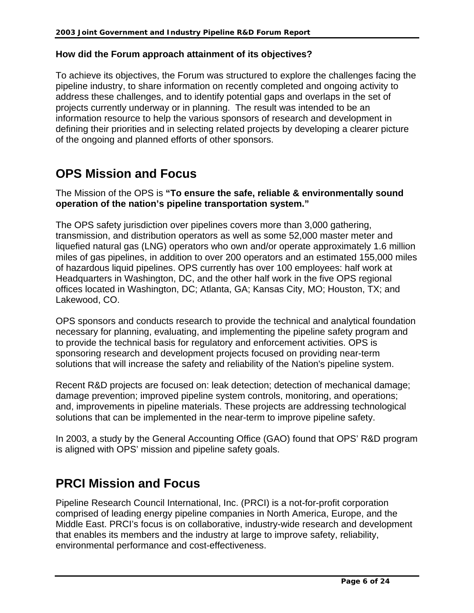#### **How did the Forum approach attainment of its objectives?**

To achieve its objectives, the Forum was structured to explore the challenges facing the pipeline industry, to share information on recently completed and ongoing activity to address these challenges, and to identify potential gaps and overlaps in the set of projects currently underway or in planning. The result was intended to be an information resource to help the various sponsors of research and development in defining their priorities and in selecting related projects by developing a clearer picture of the ongoing and planned efforts of other sponsors.

# **OPS Mission and Focus**

The Mission of the OPS is **"To ensure the safe, reliable & environmentally sound operation of the nation's pipeline transportation system."**

The OPS safety jurisdiction over pipelines covers more than 3,000 gathering, transmission, and distribution operators as well as some 52,000 master meter and liquefied natural gas (LNG) operators who own and/or operate approximately 1.6 million miles of gas pipelines, in addition to over 200 operators and an estimated 155,000 miles of hazardous liquid pipelines. OPS currently has over 100 employees: half work at Headquarters in Washington, DC, and the other half work in the five OPS regional offices located in Washington, DC; Atlanta, GA; Kansas City, MO; Houston, TX; and Lakewood, CO.

OPS sponsors and conducts research to provide the technical and analytical foundation necessary for planning, evaluating, and implementing the pipeline safety program and to provide the technical basis for regulatory and enforcement activities. OPS is sponsoring research and development projects focused on providing near-term solutions that will increase the safety and reliability of the Nation's pipeline system.

Recent R&D projects are focused on: leak detection; detection of mechanical damage; damage prevention; improved pipeline system controls, monitoring, and operations; and, improvements in pipeline materials. These projects are addressing technological solutions that can be implemented in the near-term to improve pipeline safety.

In 2003, a study by the General Accounting Office (GAO) found that OPS' R&D program is aligned with OPS' mission and pipeline safety goals.

# **PRCI Mission and Focus**

Pipeline Research Council International, Inc. (PRCI) is a not-for-profit corporation comprised of leading energy pipeline companies in North America, Europe, and the Middle East. PRCI's focus is on collaborative, industry-wide research and development that enables its members and the industry at large to improve safety, reliability, environmental performance and cost-effectiveness.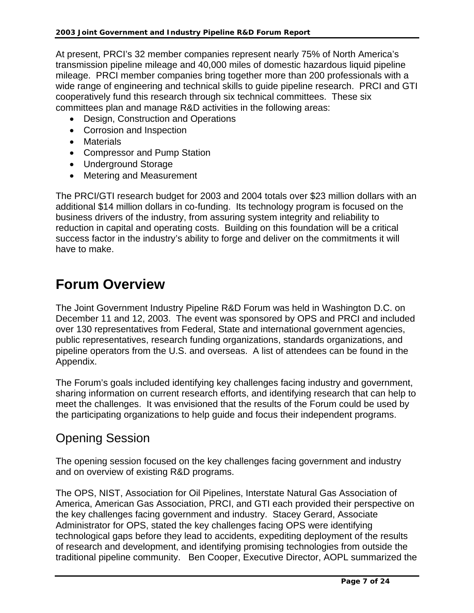At present, PRCI's 32 member companies represent nearly 75% of North America's transmission pipeline mileage and 40,000 miles of domestic hazardous liquid pipeline mileage. PRCI member companies bring together more than 200 professionals with a wide range of engineering and technical skills to guide pipeline research. PRCI and GTI cooperatively fund this research through six technical committees. These six committees plan and manage R&D activities in the following areas:

- Design, Construction and Operations
- Corrosion and Inspection
- Materials
- Compressor and Pump Station
- Underground Storage
- Metering and Measurement

The PRCI/GTI research budget for 2003 and 2004 totals over \$23 million dollars with an additional \$14 million dollars in co-funding. Its technology program is focused on the business drivers of the industry, from assuring system integrity and reliability to reduction in capital and operating costs. Building on this foundation will be a critical success factor in the industry's ability to forge and deliver on the commitments it will have to make.

# **Forum Overview**

The Joint Government Industry Pipeline R&D Forum was held in Washington D.C. on December 11 and 12, 2003. The event was sponsored by OPS and PRCI and included over 130 representatives from Federal, State and international government agencies, public representatives, research funding organizations, standards organizations, and pipeline operators from the U.S. and overseas. A list of attendees can be found in the Appendix.

The Forum's goals included identifying key challenges facing industry and government, sharing information on current research efforts, and identifying research that can help to meet the challenges. It was envisioned that the results of the Forum could be used by the participating organizations to help guide and focus their independent programs.

# Opening Session

The opening session focused on the key challenges facing government and industry and on overview of existing R&D programs.

The OPS, NIST, Association for Oil Pipelines, Interstate Natural Gas Association of America, American Gas Association, PRCI, and GTI each provided their perspective on the key challenges facing government and industry. Stacey Gerard, Associate Administrator for OPS, stated the key challenges facing OPS were identifying technological gaps before they lead to accidents, expediting deployment of the results of research and development, and identifying promising technologies from outside the traditional pipeline community. Ben Cooper, Executive Director, AOPL summarized the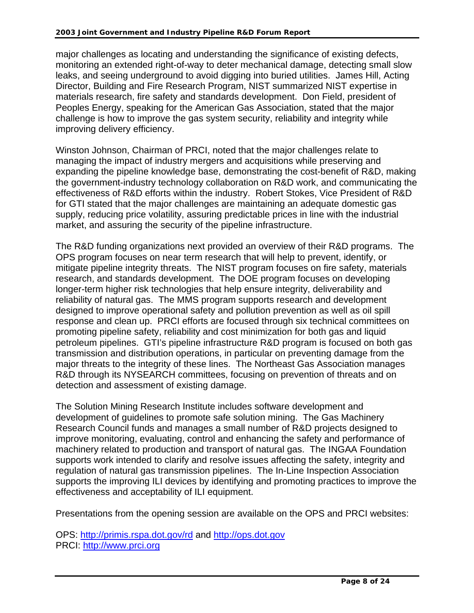major challenges as locating and understanding the significance of existing defects, monitoring an extended right-of-way to deter mechanical damage, detecting small slow leaks, and seeing underground to avoid digging into buried utilities. James Hill, Acting Director, Building and Fire Research Program, NIST summarized NIST expertise in materials research, fire safety and standards development. Don Field, president of Peoples Energy, speaking for the American Gas Association, stated that the major challenge is how to improve the gas system security, reliability and integrity while improving delivery efficiency.

Winston Johnson, Chairman of PRCI, noted that the major challenges relate to managing the impact of industry mergers and acquisitions while preserving and expanding the pipeline knowledge base, demonstrating the cost-benefit of R&D, making the government-industry technology collaboration on R&D work, and communicating the effectiveness of R&D efforts within the industry. Robert Stokes, Vice President of R&D for GTI stated that the major challenges are maintaining an adequate domestic gas supply, reducing price volatility, assuring predictable prices in line with the industrial market, and assuring the security of the pipeline infrastructure.

The R&D funding organizations next provided an overview of their R&D programs. The OPS program focuses on near term research that will help to prevent, identify, or mitigate pipeline integrity threats. The NIST program focuses on fire safety, materials research, and standards development. The DOE program focuses on developing longer-term higher risk technologies that help ensure integrity, deliverability and reliability of natural gas. The MMS program supports research and development designed to improve operational safety and pollution prevention as well as oil spill response and clean up. PRCI efforts are focused through six technical committees on promoting pipeline safety, reliability and cost minimization for both gas and liquid petroleum pipelines. GTI's pipeline infrastructure R&D program is focused on both gas transmission and distribution operations, in particular on preventing damage from the major threats to the integrity of these lines. The Northeast Gas Association manages R&D through its NYSEARCH committees, focusing on prevention of threats and on detection and assessment of existing damage.

The Solution Mining Research Institute includes software development and development of guidelines to promote safe solution mining. The Gas Machinery Research Council funds and manages a small number of R&D projects designed to improve monitoring, evaluating, control and enhancing the safety and performance of machinery related to production and transport of natural gas. The INGAA Foundation supports work intended to clarify and resolve issues affecting the safety, integrity and regulation of natural gas transmission pipelines. The In-Line Inspection Association supports the improving ILI devices by identifying and promoting practices to improve the effectiveness and acceptability of ILI equipment.

Presentations from the opening session are available on the OPS and PRCI websites:

OPS:<http://primis.rspa.dot.gov/rd> and [http://ops.dot.gov](http://ops.dot.gov/) PRCI: [http://www.prci.org](http://www.prci.org/)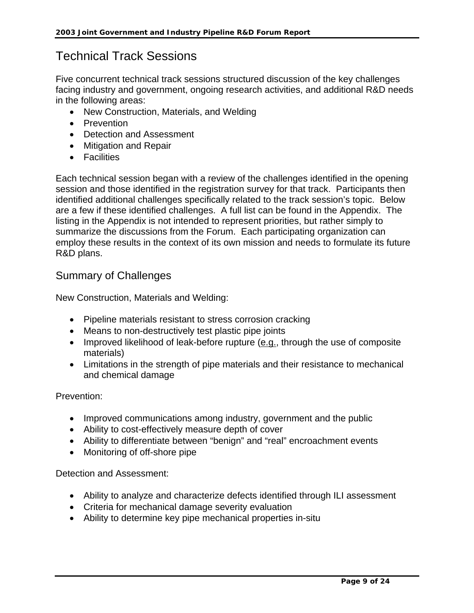# Technical Track Sessions

Five concurrent technical track sessions structured discussion of the key challenges facing industry and government, ongoing research activities, and additional R&D needs in the following areas:

- New Construction, Materials, and Welding
- Prevention
- Detection and Assessment
- Mitigation and Repair
- Facilities

Each technical session began with a review of the challenges identified in the opening session and those identified in the registration survey for that track. Participants then identified additional challenges specifically related to the track session's topic. Below are a few if these identified challenges. A full list can be found in the Appendix. The listing in the Appendix is not intended to represent priorities, but rather simply to summarize the discussions from the Forum. Each participating organization can employ these results in the context of its own mission and needs to formulate its future R&D plans.

### Summary of Challenges

New Construction, Materials and Welding:

- Pipeline materials resistant to stress corrosion cracking
- Means to non-destructively test plastic pipe joints
- Improved likelihood of leak-before rupture (e.g., through the use of composite materials)
- Limitations in the strength of pipe materials and their resistance to mechanical and chemical damage

Prevention:

- Improved communications among industry, government and the public
- Ability to cost-effectively measure depth of cover
- Ability to differentiate between "benign" and "real" encroachment events
- Monitoring of off-shore pipe

Detection and Assessment:

- Ability to analyze and characterize defects identified through ILI assessment
- Criteria for mechanical damage severity evaluation
- Ability to determine key pipe mechanical properties in-situ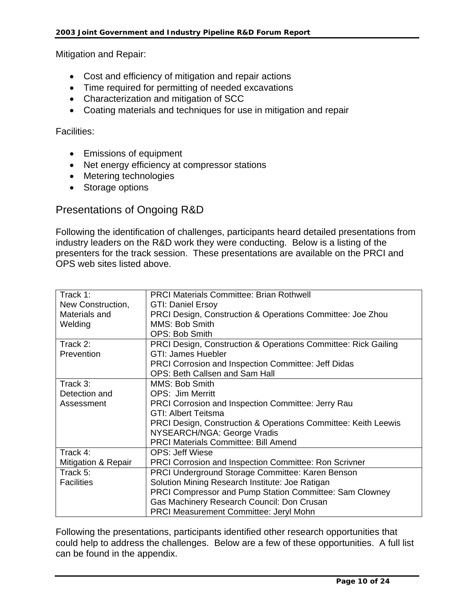Mitigation and Repair:

- Cost and efficiency of mitigation and repair actions
- Time required for permitting of needed excavations
- Characterization and mitigation of SCC
- Coating materials and techniques for use in mitigation and repair

#### Facilities:

- Emissions of equipment
- Net energy efficiency at compressor stations
- Metering technologies
- Storage options

### Presentations of Ongoing R&D

Following the identification of challenges, participants heard detailed presentations from industry leaders on the R&D work they were conducting. Below is a listing of the presenters for the track session. These presentations are available on the PRCI and OPS web sites listed above.

| Track 1:            | <b>PRCI Materials Committee: Brian Rothwell</b>                |
|---------------------|----------------------------------------------------------------|
| New Construction,   | <b>GTI: Daniel Ersoy</b>                                       |
| Materials and       | PRCI Design, Construction & Operations Committee: Joe Zhou     |
| Welding             | MMS: Bob Smith                                                 |
|                     | OPS: Bob Smith                                                 |
| Track 2:            | PRCI Design, Construction & Operations Committee: Rick Gailing |
| Prevention          | <b>GTI: James Huebler</b>                                      |
|                     | <b>PRCI Corrosion and Inspection Committee: Jeff Didas</b>     |
|                     | OPS: Beth Callsen and Sam Hall                                 |
| Track 3:            | MMS: Bob Smith                                                 |
| Detection and       | <b>OPS: Jim Merritt</b>                                        |
| Assessment          | <b>PRCI Corrosion and Inspection Committee: Jerry Rau</b>      |
|                     | <b>GTI: Albert Teitsma</b>                                     |
|                     | PRCI Design, Construction & Operations Committee: Keith Leewis |
|                     | NYSEARCH/NGA: George Vradis                                    |
|                     | <b>PRCI Materials Committee: Bill Amend</b>                    |
| Track 4:            | <b>OPS: Jeff Wiese</b>                                         |
| Mitigation & Repair | <b>PRCI Corrosion and Inspection Committee: Ron Scrivner</b>   |
| Track 5:            | PRCI Underground Storage Committee: Karen Benson               |
| <b>Facilities</b>   | Solution Mining Research Institute: Joe Ratigan                |
|                     | PRCI Compressor and Pump Station Committee: Sam Clowney        |
|                     | Gas Machinery Research Council: Don Crusan                     |
|                     | <b>PRCI Measurement Committee: Jeryl Mohn</b>                  |

Following the presentations, participants identified other research opportunities that could help to address the challenges. Below are a few of these opportunities. A full list can be found in the appendix.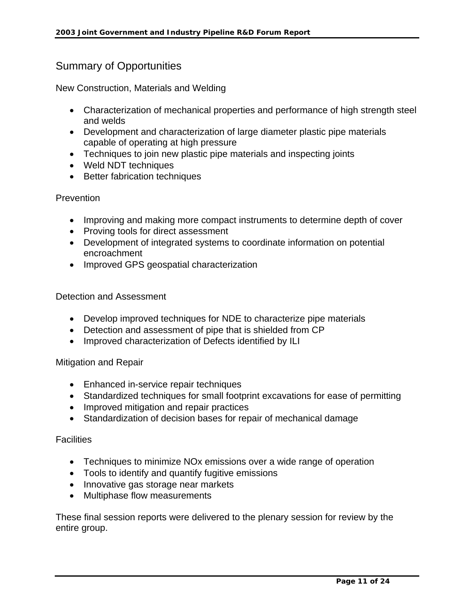### Summary of Opportunities

New Construction, Materials and Welding

- Characterization of mechanical properties and performance of high strength steel and welds
- Development and characterization of large diameter plastic pipe materials capable of operating at high pressure
- Techniques to join new plastic pipe materials and inspecting joints
- Weld NDT techniques
- Better fabrication techniques

#### **Prevention**

- Improving and making more compact instruments to determine depth of cover
- Proving tools for direct assessment
- Development of integrated systems to coordinate information on potential encroachment
- Improved GPS geospatial characterization

#### Detection and Assessment

- Develop improved techniques for NDE to characterize pipe materials
- Detection and assessment of pipe that is shielded from CP
- Improved characterization of Defects identified by ILI

#### Mitigation and Repair

- Enhanced in-service repair techniques
- Standardized techniques for small footprint excavations for ease of permitting
- Improved mitigation and repair practices
- Standardization of decision bases for repair of mechanical damage

#### **Facilities**

- Techniques to minimize NOx emissions over a wide range of operation
- Tools to identify and quantify fugitive emissions
- Innovative gas storage near markets
- Multiphase flow measurements

These final session reports were delivered to the plenary session for review by the entire group.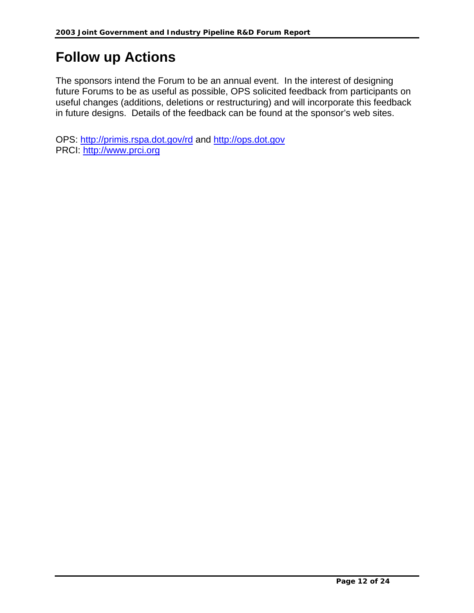# **Follow up Actions**

The sponsors intend the Forum to be an annual event. In the interest of designing future Forums to be as useful as possible, OPS solicited feedback from participants on useful changes (additions, deletions or restructuring) and will incorporate this feedback in future designs. Details of the feedback can be found at the sponsor's web sites.

OPS:<http://primis.rspa.dot.gov/rd> and [http://ops.dot.gov](http://ops.dot.gov/) PRCI: [http://www.prci.org](http://www.prci.org/)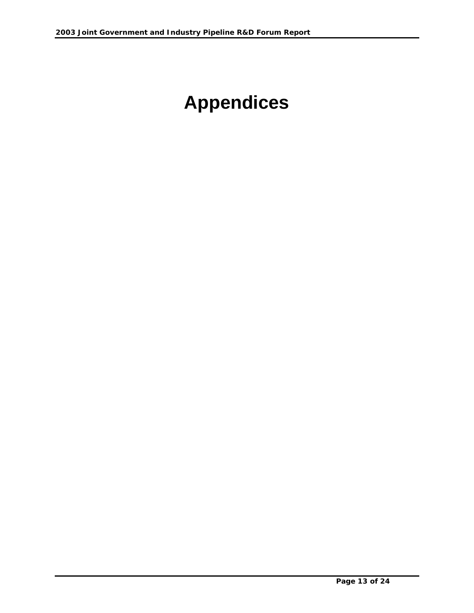# **Appendices**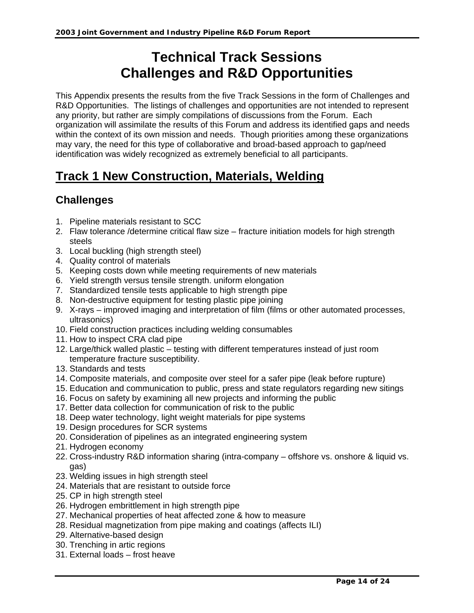# **Technical Track Sessions Challenges and R&D Opportunities**

This Appendix presents the results from the five Track Sessions in the form of Challenges and R&D Opportunities. The listings of challenges and opportunities are not intended to represent any priority, but rather are simply compilations of discussions from the Forum. Each organization will assimilate the results of this Forum and address its identified gaps and needs within the context of its own mission and needs. Though priorities among these organizations may vary, the need for this type of collaborative and broad-based approach to gap/need identification was widely recognized as extremely beneficial to all participants.

# **Track 1 New Construction, Materials, Welding**

### **Challenges**

- 1. Pipeline materials resistant to SCC
- 2. Flaw tolerance /determine critical flaw size fracture initiation models for high strength steels
- 3. Local buckling (high strength steel)
- 4. Quality control of materials
- 5. Keeping costs down while meeting requirements of new materials
- 6. Yield strength versus tensile strength. uniform elongation
- 7. Standardized tensile tests applicable to high strength pipe
- 8. Non-destructive equipment for testing plastic pipe joining
- 9. X-rays improved imaging and interpretation of film (films or other automated processes, ultrasonics)
- 10. Field construction practices including welding consumables
- 11. How to inspect CRA clad pipe
- 12. Large/thick walled plastic testing with different temperatures instead of just room temperature fracture susceptibility.
- 13. Standards and tests
- 14. Composite materials, and composite over steel for a safer pipe (leak before rupture)
- 15. Education and communication to public, press and state regulators regarding new sitings
- 16. Focus on safety by examining all new projects and informing the public
- 17. Better data collection for communication of risk to the public
- 18. Deep water technology, light weight materials for pipe systems
- 19. Design procedures for SCR systems
- 20. Consideration of pipelines as an integrated engineering system
- 21. Hydrogen economy
- 22. Cross-industry R&D information sharing (intra-company offshore vs. onshore & liquid vs. gas)
- 23. Welding issues in high strength steel
- 24. Materials that are resistant to outside force
- 25. CP in high strength steel
- 26. Hydrogen embrittlement in high strength pipe
- 27. Mechanical properties of heat affected zone & how to measure
- 28. Residual magnetization from pipe making and coatings (affects ILI)
- 29. Alternative-based design
- 30. Trenching in artic regions
- 31. External loads frost heave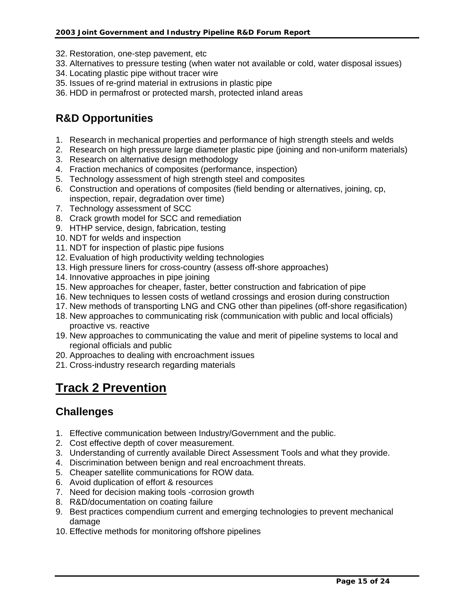- 32. Restoration, one-step pavement, etc
- 33. Alternatives to pressure testing (when water not available or cold, water disposal issues)
- 34. Locating plastic pipe without tracer wire
- 35. Issues of re-grind material in extrusions in plastic pipe
- 36. HDD in permafrost or protected marsh, protected inland areas

### **R&D Opportunities**

- 1. Research in mechanical properties and performance of high strength steels and welds
- 2. Research on high pressure large diameter plastic pipe (joining and non-uniform materials)
- 3. Research on alternative design methodology
- 4. Fraction mechanics of composites (performance, inspection)
- 5. Technology assessment of high strength steel and composites
- 6. Construction and operations of composites (field bending or alternatives, joining, cp, inspection, repair, degradation over time)
- 7. Technology assessment of SCC
- 8. Crack growth model for SCC and remediation
- 9. HTHP service, design, fabrication, testing
- 10. NDT for welds and inspection
- 11. NDT for inspection of plastic pipe fusions
- 12. Evaluation of high productivity welding technologies
- 13. High pressure liners for cross-country (assess off-shore approaches)
- 14. Innovative approaches in pipe joining
- 15. New approaches for cheaper, faster, better construction and fabrication of pipe
- 16. New techniques to lessen costs of wetland crossings and erosion during construction
- 17. New methods of transporting LNG and CNG other than pipelines (off-shore regasification)
- 18. New approaches to communicating risk (communication with public and local officials) proactive vs. reactive
- 19. New approaches to communicating the value and merit of pipeline systems to local and regional officials and public
- 20. Approaches to dealing with encroachment issues
- 21. Cross-industry research regarding materials

# **Track 2 Prevention**

### **Challenges**

- 1. Effective communication between Industry/Government and the public.
- 2. Cost effective depth of cover measurement.
- 3. Understanding of currently available Direct Assessment Tools and what they provide.
- 4. Discrimination between benign and real encroachment threats.
- 5. Cheaper satellite communications for ROW data.
- 6. Avoid duplication of effort & resources
- 7. Need for decision making tools -corrosion growth
- 8. R&D/documentation on coating failure
- 9. Best practices compendium current and emerging technologies to prevent mechanical damage
- 10. Effective methods for monitoring offshore pipelines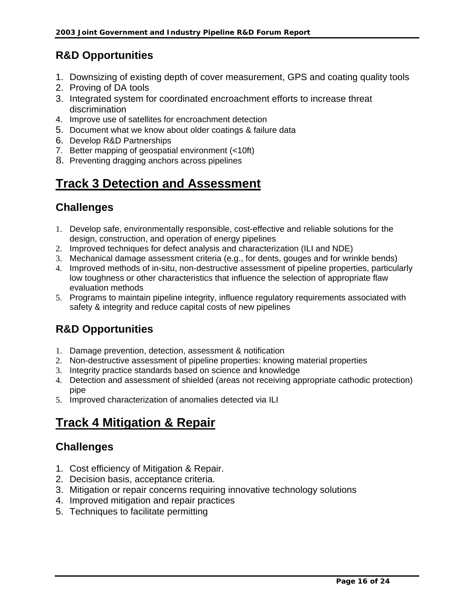# **R&D Opportunities**

- 1. Downsizing of existing depth of cover measurement, GPS and coating quality tools
- 2. Proving of DA tools
- 3. Integrated system for coordinated encroachment efforts to increase threat discrimination
- 4. Improve use of satellites for encroachment detection
- 5. Document what we know about older coatings & failure data
- 6. Develop R&D Partnerships
- 7. Better mapping of geospatial environment (<10ft)
- 8. Preventing dragging anchors across pipelines

# **Track 3 Detection and Assessment**

# **Challenges**

- 1. Develop safe, environmentally responsible, cost-effective and reliable solutions for the design, construction, and operation of energy pipelines.
- 2. Improved techniques for defect analysis and characterization (ILI and NDE)
- 3. Mechanical damage assessment criteria (e.g., for dents, gouges and for wrinkle bends)
- 4. Improved methods of in-situ, non-destructive assessment of pipeline properties, particularly low toughness or other characteristics that influence the selection of appropriate flaw evaluation methods
- 5. Programs to maintain pipeline integrity, influence regulatory requirements associated with safety & integrity and reduce capital costs of new pipelines

# **R&D Opportunities**

- 1. Damage prevention, detection, assessment & notification
- 2. Non-destructive assessment of pipeline properties: knowing material properties
- 3. Integrity practice standards based on science and knowledge
- 4. Detection and assessment of shielded (areas not receiving appropriate cathodic protection) pipe
- 5. Improved characterization of anomalies detected via ILI

# **Track 4 Mitigation & Repair**

### **Challenges**

- 1. Cost efficiency of Mitigation & Repair.
- 2. Decision basis, acceptance criteria.
- 3. Mitigation or repair concerns requiring innovative technology solutions
- 4. Improved mitigation and repair practices
- 5. Techniques to facilitate permitting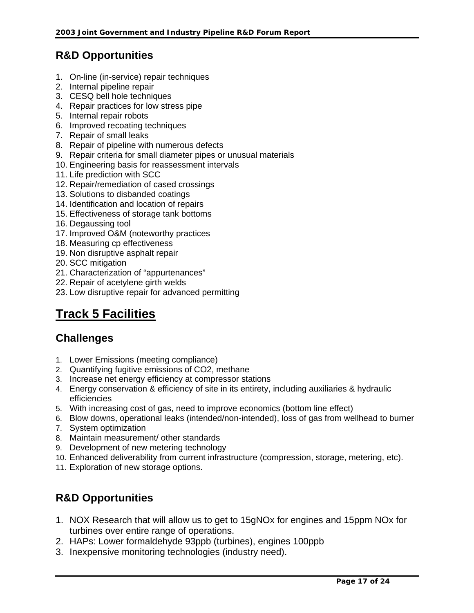# **R&D Opportunities**

- 1. On-line (in-service) repair techniques
- 2. Internal pipeline repair
- 3. CESQ bell hole techniques
- 4. Repair practices for low stress pipe
- 5. Internal repair robots
- 6. Improved recoating techniques
- 7. Repair of small leaks
- 8. Repair of pipeline with numerous defects
- 9. Repair criteria for small diameter pipes or unusual materials
- 10. Engineering basis for reassessment intervals
- 11. Life prediction with SCC
- 12. Repair/remediation of cased crossings
- 13. Solutions to disbanded coatings
- 14. Identification and location of repairs
- 15. Effectiveness of storage tank bottoms
- 16. Degaussing tool
- 17. Improved O&M (noteworthy practices
- 18. Measuring cp effectiveness
- 19. Non disruptive asphalt repair
- 20. SCC mitigation
- 21. Characterization of "appurtenances"
- 22. Repair of acetylene girth welds
- 23. Low disruptive repair for advanced permitting

# **Track 5 Facilities**

### **Challenges**

- 1. Lower Emissions (meeting compliance)
- 2. Quantifying fugitive emissions of CO2, methane
- 3. Increase net energy efficiency at compressor stations
- 4. Energy conservation & efficiency of site in its entirety, including auxiliaries & hydraulic efficiencies
- 5. With increasing cost of gas, need to improve economics (bottom line effect)
- 6. Blow downs, operational leaks (intended/non-intended), loss of gas from wellhead to burner
- 7. System optimization
- 8. Maintain measurement/ other standards
- 9. Development of new metering technology
- 10. Enhanced deliverability from current infrastructure (compression, storage, metering, etc).
- 11. Exploration of new storage options.

### **R&D Opportunities**

- 1. NOX Research that will allow us to get to 15gNOx for engines and 15ppm NOx for turbines over entire range of operations.
- 2. HAPs: Lower formaldehyde 93ppb (turbines), engines 100ppb
- 3. Inexpensive monitoring technologies (industry need).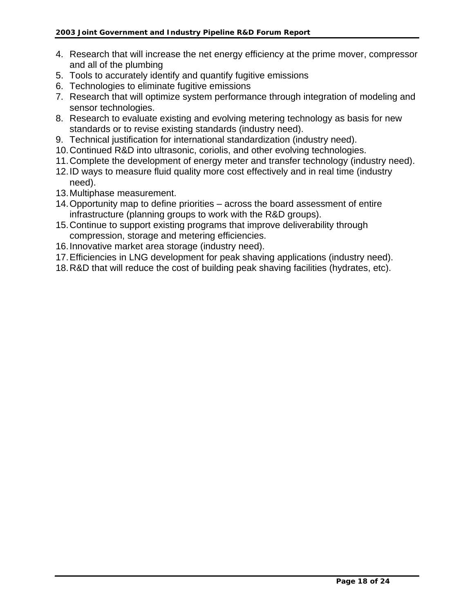- 4. Research that will increase the net energy efficiency at the prime mover, compressor and all of the plumbing
- 5. Tools to accurately identify and quantify fugitive emissions
- 6. Technologies to eliminate fugitive emissions
- 7. Research that will optimize system performance through integration of modeling and sensor technologies.
- 8. Research to evaluate existing and evolving metering technology as basis for new standards or to revise existing standards (industry need).
- 9. Technical justification for international standardization (industry need).
- 10. Continued R&D into ultrasonic, coriolis, and other evolving technologies.
- 11. Complete the development of energy meter and transfer technology (industry need).
- 12. ID ways to measure fluid quality more cost effectively and in real time (industry need).
- 13. Multiphase measurement.
- 14. Opportunity map to define priorities across the board assessment of entire infrastructure (planning groups to work with the R&D groups).
- 15. Continue to support existing programs that improve deliverability through compression, storage and metering efficiencies.
- 16. Innovative market area storage (industry need).
- 17. Efficiencies in LNG development for peak shaving applications (industry need).
- 18. R&D that will reduce the cost of building peak shaving facilities (hydrates, etc).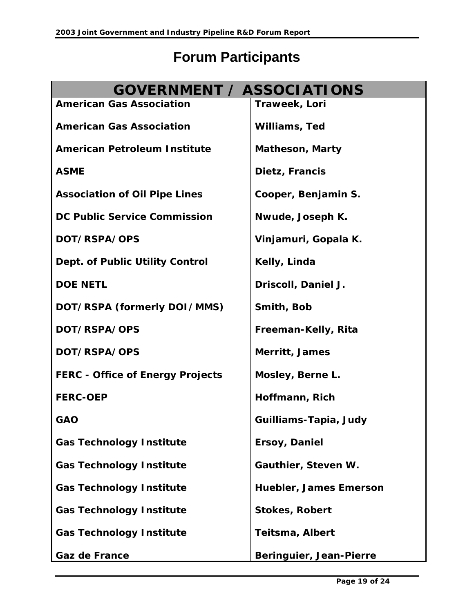# **Forum Participants**

| <b>GOVERNMENT / ASSOCIATIONS</b>        |                         |
|-----------------------------------------|-------------------------|
| <b>American Gas Association</b>         | Traweek, Lori           |
| <b>American Gas Association</b>         | Williams, Ted           |
| <b>American Petroleum Institute</b>     | <b>Matheson, Marty</b>  |
| <b>ASME</b>                             | Dietz, Francis          |
| <b>Association of Oil Pipe Lines</b>    | Cooper, Benjamin S.     |
| <b>DC Public Service Commission</b>     | Nwude, Joseph K.        |
| DOT/RSPA/OPS                            | Vinjamuri, Gopala K.    |
| Dept. of Public Utility Control         | Kelly, Linda            |
| <b>DOE NETL</b>                         | Driscoll, Daniel J.     |
| DOT/RSPA (formerly DOI/MMS)             | Smith, Bob              |
| DOT/RSPA/OPS                            | Freeman-Kelly, Rita     |
| DOT/RSPA/OPS                            | Merritt, James          |
| <b>FERC - Office of Energy Projects</b> | Mosley, Berne L.        |
| <b>FERC-OEP</b>                         | Hoffmann, Rich          |
| <b>GAO</b>                              | Guilliams-Tapia, Judy   |
| <b>Gas Technology Institute</b>         | Ersoy, Daniel           |
| <b>Gas Technology Institute</b>         | Gauthier, Steven W.     |
| <b>Gas Technology Institute</b>         | Huebler, James Emerson  |
| <b>Gas Technology Institute</b>         | <b>Stokes, Robert</b>   |
| <b>Gas Technology Institute</b>         | <b>Teitsma, Albert</b>  |
| Gaz de France                           | Beringuier, Jean-Pierre |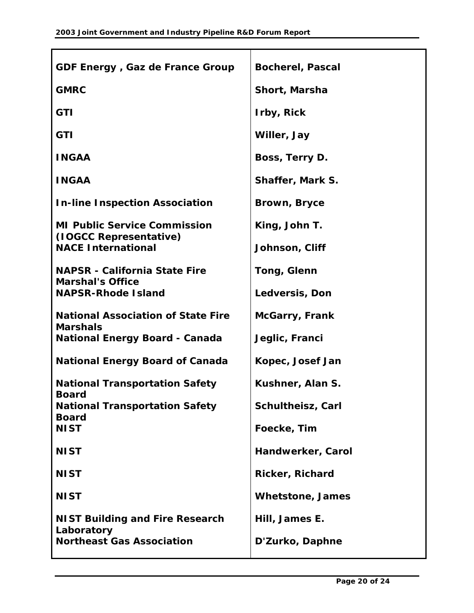| GDF Energy, Gaz de France Group                          | <b>Bocherel, Pascal</b> |
|----------------------------------------------------------|-------------------------|
| <b>GMRC</b>                                              | Short, Marsha           |
| <b>GTI</b>                                               | Irby, Rick              |
| <b>GTI</b>                                               | Willer, Jay             |
| <b>INGAA</b>                                             | Boss, Terry D.          |
| <b>INGAA</b>                                             | <b>Shaffer, Mark S.</b> |
| <b>In-line Inspection Association</b>                    | Brown, Bryce            |
| <b>MI Public Service Commission</b>                      | King, John T.           |
| (IOGCC Representative)<br><b>NACE International</b>      | Johnson, Cliff          |
| <b>NAPSR - California State Fire</b>                     | Tong, Glenn             |
| <b>Marshal's Office</b><br><b>NAPSR-Rhode Island</b>     | Ledversis, Don          |
| <b>National Association of State Fire</b>                | <b>McGarry, Frank</b>   |
| <b>Marshals</b><br><b>National Energy Board - Canada</b> | Jeglic, Franci          |
| <b>National Energy Board of Canada</b>                   | Kopec, Josef Jan        |
| <b>National Transportation Safety</b>                    | Kushner, Alan S.        |
| <b>Board</b><br><b>National Transportation Safety</b>    | Schultheisz, Carl       |
| <b>Board</b><br><b>NIST</b>                              | Foecke, Tim             |
| <b>NIST</b>                                              | Handwerker, Carol       |
| <b>NIST</b>                                              | <b>Ricker, Richard</b>  |
| <b>NIST</b>                                              | <b>Whetstone, James</b> |
| <b>NIST Building and Fire Research</b>                   | Hill, James E.          |
| Laboratory<br><b>Northeast Gas Association</b>           | D'Zurko, Daphne         |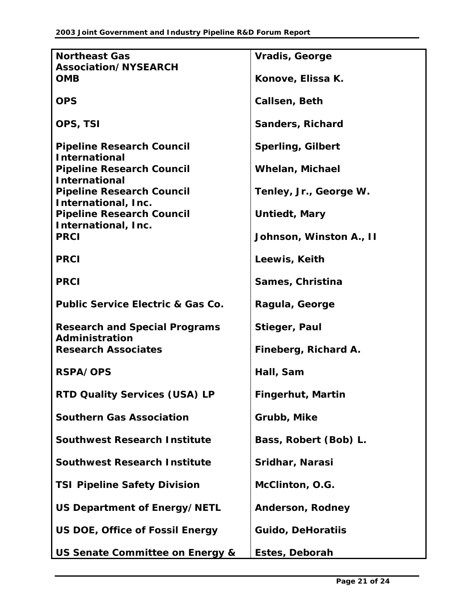| <b>Northeast Gas</b>                                     | <b>Vradis, George</b>    |
|----------------------------------------------------------|--------------------------|
| Association/NYSEARCH                                     |                          |
| <b>OMB</b>                                               | Konove, Elissa K.        |
| <b>OPS</b>                                               | Callsen, Beth            |
| OPS, TSI                                                 | <b>Sanders, Richard</b>  |
| <b>Pipeline Research Council</b><br><b>International</b> | <b>Sperling, Gilbert</b> |
| <b>Pipeline Research Council</b><br><b>International</b> | <b>Whelan, Michael</b>   |
| <b>Pipeline Research Council</b><br>International, Inc.  | Tenley, Jr., George W.   |
| <b>Pipeline Research Council</b><br>International, Inc.  | Untiedt, Mary            |
| <b>PRCI</b>                                              | Johnson, Winston A., II  |
| <b>PRCI</b>                                              | Leewis, Keith            |
| <b>PRCI</b>                                              | Sames, Christina         |
| <b>Public Service Electric &amp; Gas Co.</b>             | Ragula, George           |
| <b>Research and Special Programs</b><br>Administration   | Stieger, Paul            |
| <b>Research Associates</b>                               | Fineberg, Richard A.     |
| <b>RSPA/OPS</b>                                          | Hall, Sam                |
| RTD Quality Services (USA) LP                            | <b>Fingerhut, Martin</b> |
| <b>Southern Gas Association</b>                          | Grubb, Mike              |
| <b>Southwest Research Institute</b>                      | Bass, Robert (Bob) L.    |
| <b>Southwest Research Institute</b>                      | Sridhar, Narasi          |
| <b>TSI Pipeline Safety Division</b>                      | McClinton, O.G.          |
| US Department of Energy/NETL                             | <b>Anderson, Rodney</b>  |
| US DOE, Office of Fossil Energy                          | <b>Guido, DeHoratiis</b> |
| US Senate Committee on Energy &                          | Estes, Deborah           |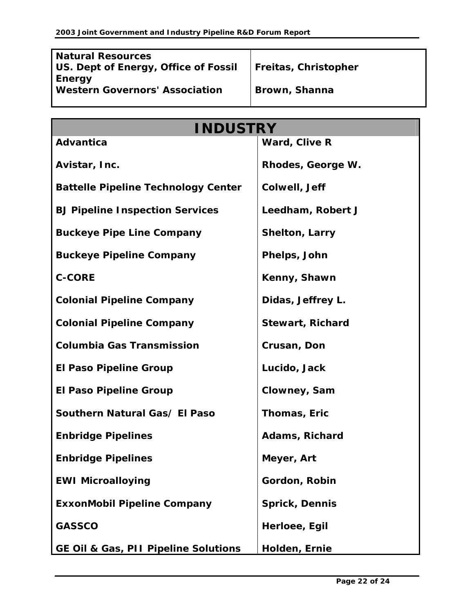| <b>Natural Resources</b>              |                      |
|---------------------------------------|----------------------|
| US. Dept of Energy, Office of Fossil  | Freitas, Christopher |
| Energy                                |                      |
| <b>Western Governors' Association</b> | Brown, Shanna        |
|                                       |                      |
|                                       |                      |

| <b>INDUSTRY</b>                            |                         |  |
|--------------------------------------------|-------------------------|--|
| <b>Advantica</b>                           | Ward, Clive R           |  |
| Avistar, Inc.                              | Rhodes, George W.       |  |
| <b>Battelle Pipeline Technology Center</b> | Colwell, Jeff           |  |
| <b>BJ Pipeline Inspection Services</b>     | Leedham, Robert J       |  |
| <b>Buckeye Pipe Line Company</b>           | <b>Shelton, Larry</b>   |  |
| <b>Buckeye Pipeline Company</b>            | Phelps, John            |  |
| <b>C-CORE</b>                              | Kenny, Shawn            |  |
| <b>Colonial Pipeline Company</b>           | Didas, Jeffrey L.       |  |
| <b>Colonial Pipeline Company</b>           | <b>Stewart, Richard</b> |  |
| <b>Columbia Gas Transmission</b>           | Crusan, Don             |  |
| <b>El Paso Pipeline Group</b>              | Lucido, Jack            |  |
| <b>El Paso Pipeline Group</b>              | Clowney, Sam            |  |
| Southern Natural Gas/ El Paso              | Thomas, Eric            |  |
| <b>Enbridge Pipelines</b>                  | Adams, Richard          |  |
| <b>Enbridge Pipelines</b>                  | Meyer, Art              |  |
| <b>EWI Microalloying</b>                   | Gordon, Robin           |  |
| <b>ExxonMobil Pipeline Company</b>         | Sprick, Dennis          |  |
| <b>GASSCO</b>                              | Herloee, Egil           |  |
| GE Oil & Gas, PII Pipeline Solutions       | Holden, Ernie           |  |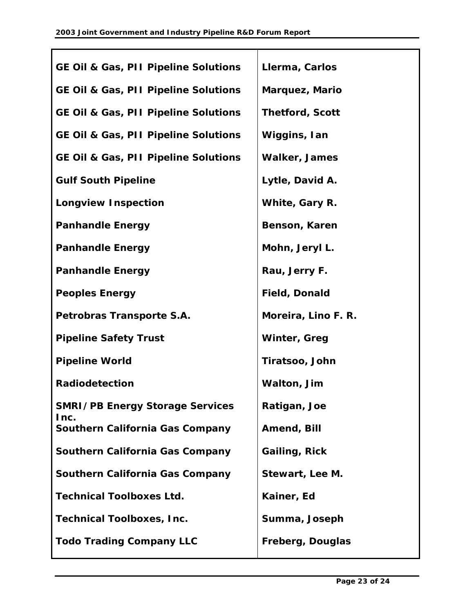| <b>GE Oil &amp; Gas, PII Pipeline Solutions</b> | Llerma, Carlos         |
|-------------------------------------------------|------------------------|
| <b>GE Oil &amp; Gas, PII Pipeline Solutions</b> | Marquez, Mario         |
| <b>GE Oil &amp; Gas, PII Pipeline Solutions</b> | <b>Thetford, Scott</b> |
| <b>GE Oil &amp; Gas, PII Pipeline Solutions</b> | Wiggins, Ian           |
| <b>GE Oil &amp; Gas, PII Pipeline Solutions</b> | <b>Walker, James</b>   |
| <b>Gulf South Pipeline</b>                      | Lytle, David A.        |
| <b>Longview Inspection</b>                      | White, Gary R.         |
| <b>Panhandle Energy</b>                         | Benson, Karen          |
| <b>Panhandle Energy</b>                         | Mohn, Jeryl L.         |
| <b>Panhandle Energy</b>                         | Rau, Jerry F.          |
| <b>Peoples Energy</b>                           | <b>Field, Donald</b>   |
| Petrobras Transporte S.A.                       | Moreira, Lino F. R.    |
| <b>Pipeline Safety Trust</b>                    | Winter, Greg           |
| <b>Pipeline World</b>                           | Tiratsoo, John         |
| <b>Radiodetection</b>                           | Walton, Jim            |
| <b>SMRI/PB Energy Storage Services</b>          | Ratigan, Joe           |
| Inc.<br>Southern California Gas Company         | Amend, Bill            |
| Southern California Gas Company                 | Gailing, Rick          |
| Southern California Gas Company                 | Stewart, Lee M.        |
| <b>Technical Toolboxes Ltd.</b>                 | Kainer, Ed             |
| <b>Technical Toolboxes, Inc.</b>                | Summa, Joseph          |
| <b>Todo Trading Company LLC</b>                 | Freberg, Douglas       |
|                                                 |                        |